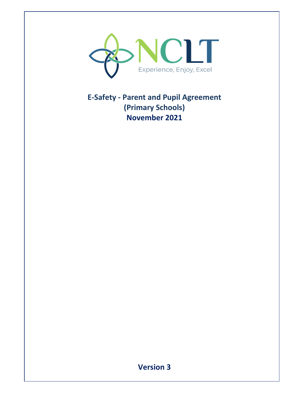

**E-Safety - Parent and Pupil Agreement (Primary Schools) November 2021** 

## **Version 3**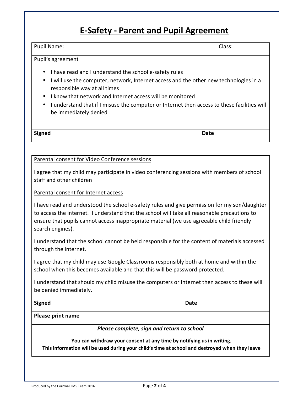## **E-Safety - Parent and Pupil Agreement**

#### Pupil Name: Class:

### Pupil's agreement

- I have read and I understand the school e-safety rules
- I will use the computer, network, Internet access and the other new technologies in a responsible way at all times
- I know that network and Internet access will be monitored
- I understand that if I misuse the computer or Internet then access to these facilities will be immediately denied

**Signed** Date **Date Date** 

#### Parental consent for Video Conference sessions

I agree that my child may participate in video conferencing sessions with members of school staff and other children

#### Parental consent for Internet access

I have read and understood the school e-safety rules and give permission for my son/daughter to access the internet. I understand that the school will take all reasonable precautions to ensure that pupils cannot access inappropriate material (we use agreeable child friendly search engines).

I understand that the school cannot be held responsible for the content of materials accessed through the internet.

I agree that my child may use Google Classrooms responsibly both at home and within the school when this becomes available and that this will be password protected.

I understand that should my child misuse the computers or Internet then access to these will be denied immediately.

**Signed** Date **Date** 

#### **Please print name**

*Please complete, sign and return to school* 

**You can withdraw your consent at any time by notifying us in writing. This information will be used during your child's time at school and destroyed when they leave**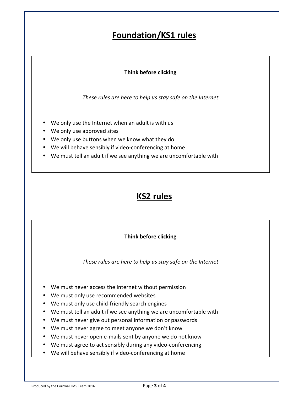# **Foundation/KS1 rules**

### **Think before clicking**

*These rules are here to help us stay safe on the Internet* 

- We only use the Internet when an adult is with us
- We only use approved sites
- We only use buttons when we know what they do
- We will behave sensibly if video-conferencing at home
- We must tell an adult if we see anything we are uncomfortable with

## **KS2 rules**

### **Think before clicking**

*These rules are here to help us stay safe on the Internet* 

- We must never access the Internet without permission
- We must only use recommended websites
- We must only use child-friendly search engines
- We must tell an adult if we see anything we are uncomfortable with
- We must never give out personal information or passwords
- We must never agree to meet anyone we don't know
- We must never open e-mails sent by anyone we do not know
- We must agree to act sensibly during any video-conferencing
- We will behave sensibly if video-conferencing at home